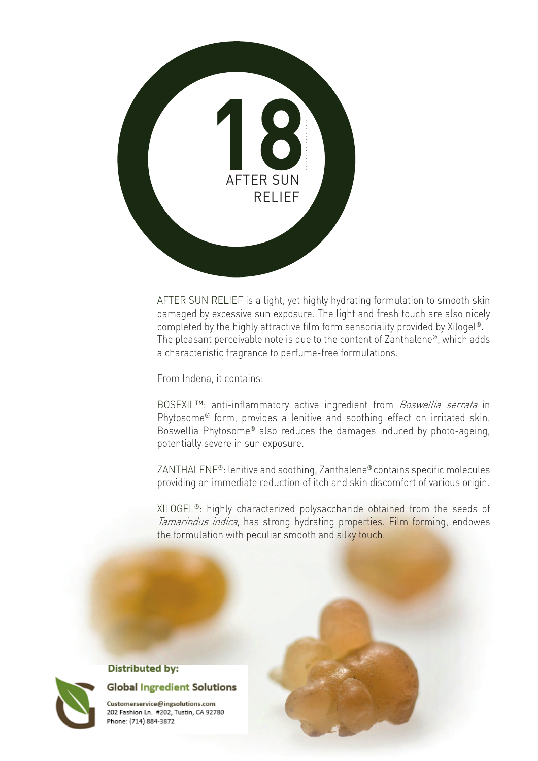

AFTER SUN RELIEF is a light, yet highly hydrating formulation to smooth skin damaged by excessive sun exposure. The light and fresh touch are also nicely completed by the highly attractive film form sensoriality provided by Xilogel®. The pleasant perceivable note is due to the content of Zanthalene®, which adds a characteristic fragrance to perfume-free formulations.

From Indena, it contains:

BOSEXIL™: anti-inflammatory active ingredient from *Boswellia serrata* in Phytosome® form, provides a lenitive and soothing effect on irritated skin. Boswellia Phytosome® also reduces the damages induced by photo-ageing, potentially severe in sun exposure.

ZANTHALENE®: lenitive and soothing, Zanthalene® contains specific molecules providing an immediate reduction of itch and skin discomfort of various origin.

XILOGEL®: highly characterized polysaccharide obtained from the seeds of Tamarindus indica, has strong hydrating properties. Film forming, endowes the formulation with peculiar smooth and silky touch.



## **Distributed by:**



Customerservice@ingsolutions.com 202 Fashion Ln. #202, Tustin, CA 92780 Phone: (714) 884-3872